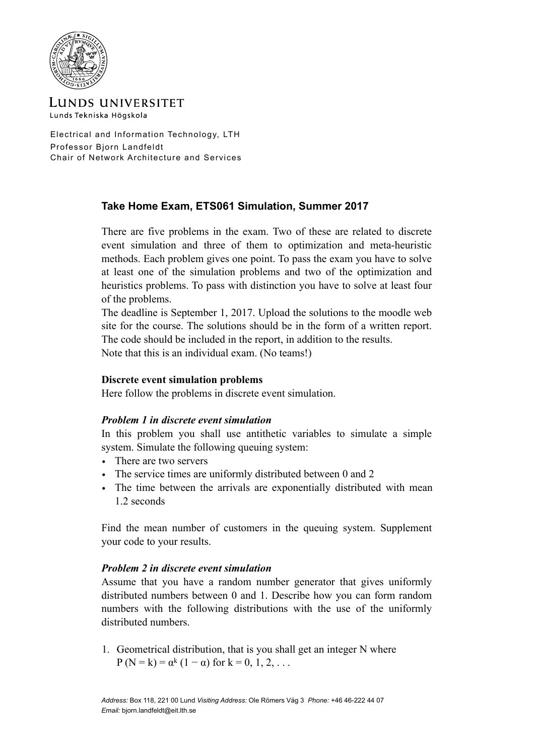

LUNDS UNIVERSITET Lunds Tekniska Högskola

Electrical and Information Technology, LTH Professor Bjorn Landfeldt Chair of Network Architecture and Services

## **Take Home Exam, ETS061 Simulation, Summer 2017**

There are five problems in the exam. Two of these are related to discrete event simulation and three of them to optimization and meta-heuristic methods. Each problem gives one point. To pass the exam you have to solve at least one of the simulation problems and two of the optimization and heuristics problems. To pass with distinction you have to solve at least four of the problems.

The deadline is September 1, 2017. Upload the solutions to the moodle web site for the course. The solutions should be in the form of a written report. The code should be included in the report, in addition to the results.

Note that this is an individual exam. (No teams!)

## **Discrete event simulation problems**

Here follow the problems in discrete event simulation.

## *Problem 1 in discrete event simulation*

In this problem you shall use antithetic variables to simulate a simple system. Simulate the following queuing system:

- There are two servers
- The service times are uniformly distributed between 0 and 2
- The time between the arrivals are exponentially distributed with mean 1.2 seconds

Find the mean number of customers in the queuing system. Supplement your code to your results.

#### *Problem 2 in discrete event simulation*

Assume that you have a random number generator that gives uniformly distributed numbers between 0 and 1. Describe how you can form random numbers with the following distributions with the use of the uniformly distributed numbers.

1. Geometrical distribution, that is you shall get an integer N where P (N = k) =  $\alpha^{k}$  (1 –  $\alpha$ ) for k = 0, 1, 2, ...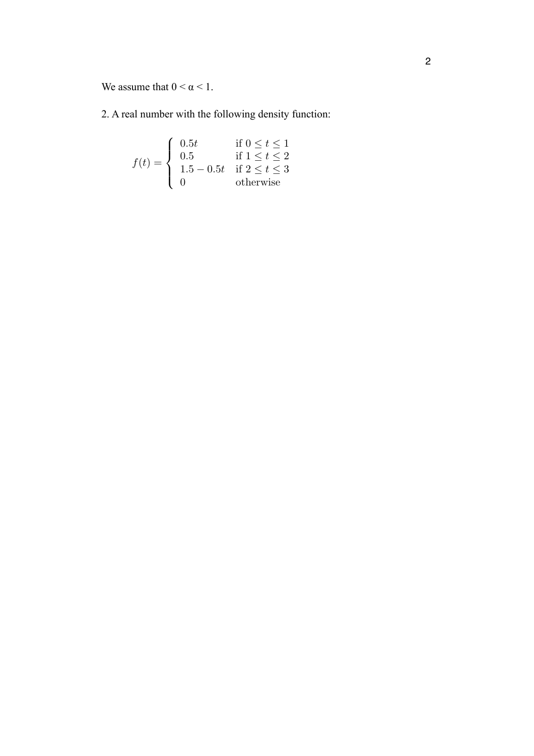We assume that  $0 < \alpha < 1$ . *<sup>P</sup>*(*<sup>N</sup>* <sup>=</sup> *<sup>k</sup>*) = ↵*k*(1 ↵) for *<sup>k</sup>* = 0*,* <sup>1</sup>*,* <sup>2</sup>*,...*

2. A real number with the following density function: 2. A real number with the following density function:

$$
f(t) = \begin{cases} 0.5t & \text{if } 0 \le t \le 1 \\ 0.5 & \text{if } 1 \le t \le 2 \\ 1.5 - 0.5t & \text{if } 2 \le t \le 3 \\ 0 & \text{otherwise} \end{cases}
$$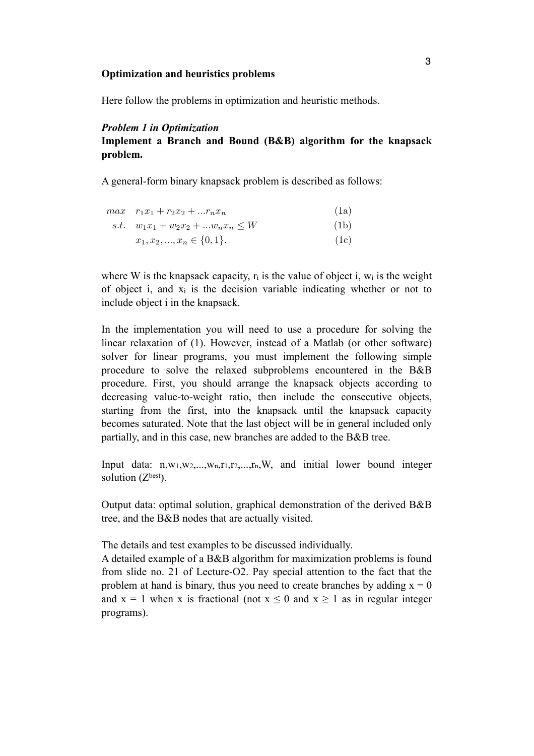#### **Optimization and heuristics problems**  Optimization and heuristics problems

Here follow the problems in optimization and heuristic methods. Here follow the problems in optimization and heuristic methods.

## *Problem 1 in Optimization*  Problem 1 in Optimization

#### **Implement a Branch and Bound (B&B) algorithm for the knapsack problem. Implement a Branch and Bound (B&B) and Bound (B&B) and Bound (B&B) and Bound (B&B) and Bound (B&B) and Bound (B&B) and Bound (B&B) and Bound (B&B) and Bound (B&B) and Bound (B&B) and Bound (B&B) and Bound (B&B)**

A general-form binary knapsack problem is described as follows:  $\sigma$ -form binary knapsack problem is described as follows:

|  | $max \t r_1x_1 + r_2x_2 +  r_nx_n$ | (1a) |  |
|--|------------------------------------|------|--|
|--|------------------------------------|------|--|

- s.t.  $w_1x_1 + w_2x_2 + ... w_nx_n \leq W$  (1b)
	- $x_1, x_2, \ldots, x_n \in \{0, 1\}.$  (1c)

where W is the knapsack capacity,  $r_i$  is the value of object *i*,  $w_i$  is the weight of object *i*, and  $\overline{x_i}$  is the decision variable indicating whether or not to  $\frac{1}{2}$  include object i in the knapsack. merade object I in the Knapsaek.

In the implementation you will need to use a procedure for solving the linear relaxation of  $(1)$ . However, instead of a Matlab (or other software) solver for linear programs, you must implement the following simple procedure to solve the relaxed subproblems encountered in the B&B procedure. First, you should arrange the knapsack objects according to decreasing value-to-weight ratio, then include the consecutive objects, starting from the first, into the knapsack until the knapsack capacity becomes saturated. Note that the last object will be in general included only partially, and in this case, new branches are added to the B&B tree. In the implementation you will need to use a procedure.

Input data:  $n, w_1, w_2, \ldots, w_n, r_1, r_2, \ldots, r_n, W$ , and initial lower bound integer  $\text{solution (Z<sup>best</sup>)}.$ 

Output data: optimal solution, graphical demonstration of the derived B&B tree, and the B&B nodes that are actually visited.  $\alpha$  detailed example of B $\alpha$  algorithm for maximization problems is found from  $\alpha$ Output data: optimal solution, graphical demonstration of

The details and test examples to be discussed individually.

A detailed example of a B&B algorithm for maximization problems is found from slide no. 21 of Lecture-O2. Pay special attention to the fact that the problem at hand is binary, thus you need to create branches by adding  $x = 0$ and  $x = 1$  when x is fractional (not  $x \le 0$  and  $x \ge 1$  as in regular integer programs).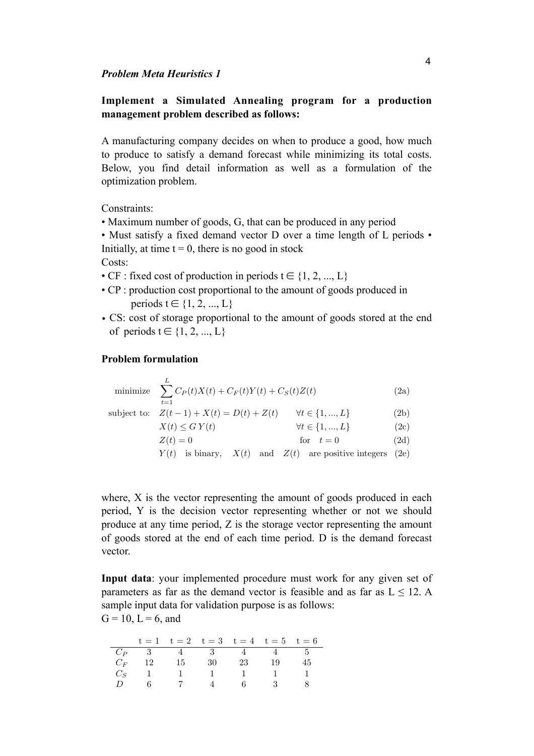# **Implement a Simulated Annealing program for a production**  management problem described as follows:

A manufacturing company decides on when to produce a good, how much to produce to satisfy a demand forecast while minimizing its total costs. Below, you find detail information as well as a formulation of the optimization problem.  $p_{\text{U}}$  as a demand for  $q_{\text{U}}$  and  $q_{\text{U}}$  and  $q_{\text{U}}$  and  $q_{\text{U}}$  is the local costs. Below,  $p_{\text{U}}$ 

Constraints: Constraints:

• Maximum number of goods, G, that can be produced in any period *•* Maximum number of goods, *G*, that can be produced in any period  $\begin{bmatrix} 1 & 0 & 1 & 0 & 1 & 1 & 1 & 1 \end{bmatrix}$  $maximum$  number of goods,  $U$ , that  $G$ 

• Must satisfy a fixed demand vector  $D$  over a time length of  $L$  periods  $\cdot$ Initially, at time  $t = 0$ , there is no good in stock  $\mathsf{S}^{\mathsf{f}}$  $\mathcal{L}$  information as well as well as  $\mathcal{L}$ 

Costs:

- CF : fixed cost of production in periods  $t \in \{1, 2, ..., L\}$
- CP : production cost proportional to the amount of goods produced in<br>norioda  $t \in (1, 2, \ldots, L)$ periods  $t \in \{1, 2, ..., L\}$  $P(X)$  and  $P(X)$  is  $P(Y)$  in  $P(Y)$
- CS: cost of storage proportional to the amount of goods stored at the end of periods  $t \in \{1, 2, ..., L\}$ *t* cost of storage proportional to the amount of goods stored at the  $\mathbf{r} = (1, 2, ..., 2)$

#### **Problem formulation** of periods *t* 2 *{*1*,* 2*, ..., L}* Problem formulation:  $\bf{r}$   $\bf{r}$   $\bf{r}$   $\bf{r}$   $\bf{r}$   $\bf{r}$   $\bf{r}$   $\bf{r}$   $\bf{r}$   $\bf{r}$   $\bf{r}$   $\bf{r}$   $\bf{r}$   $\bf{r}$   $\bf{r}$   $\bf{r}$   $\bf{r}$   $\bf{r}$   $\bf{r}$   $\bf{r}$   $\bf{r}$   $\bf{r}$   $\bf{r}$   $\bf{r}$   $\bf{r}$   $\bf{r}$   $\bf{r}$   $\bf{r$

minimize 
$$
\sum_{t=1}^{L} C_P(t)X(t) + C_F(t)Y(t) + C_S(t)Z(t)
$$
(2a)  
subject to: 
$$
Z(t-1) + X(t) = D(t) + Z(t)
$$
  $\forall t \in \{1, ..., L\}$ (2b)  

$$
X(t) \le G Y(t)
$$
  $\forall t \in \{1, ..., L\}$ (2c)  

$$
Z(t) = 0
$$
 for  $t = 0$ (2d)

 $Y(t)$  is binary,  $X(t)$  and  $Z(t)$  are positive integers (2e) minimize X

where, X is the vector representing the amount of goods produced in each period, Y is the decision vector representing whether or not we should produce at any time period, Z is the storage vector representing the amount of goods stored at the end of each time period. D is the demand forecast  $vector.$ *G* = 10, and  $\frac{1}{2}$ *X* vector representing the amount of goods produced in each  $\frac{d}{dx}$ *a* decision vector representing whether or not we sho  $\frac{1}{\sqrt{2}}$  is the vector representing the amount of  $\frac{1}{\sqrt{2}}$ riod, *Y* is the decision vector representing whether or not we should produce

Input data: your implemented procedure must work for any given set of parameters as far as the demand vector is feasible and as far as  $L \le 12$ . A sample input data for validation purpose is as follows: *C<sup>S</sup>* 111111 Input data: your implemented procedure must work for any given set of pa- $G = 10$ ,  $L = 6$ , and  $G = 10, L = 6$ , and rameters as forward vector is as follows.<br>and as  $\frac{10 - I}{\sigma}$  sample and as  $\frac{12}{\sigma}$  sample.

|               |     | $t = 1$ $t = 2$ $t = 3$ $t = 4$ $t = 5$ $t = 6$           |           |      |
|---------------|-----|-----------------------------------------------------------|-----------|------|
|               |     | $C_P$ 3 4 3 4 4 5                                         |           |      |
|               |     | $C_F$ 12 15 30 23 19                                      |           | - 45 |
|               |     | $C_S \begin{bmatrix} 1 & 1 & 1 & 1 & 1 & 1 \end{bmatrix}$ |           |      |
| $\mathcal{L}$ | - 6 |                                                           | 7 4 6 3 8 |      |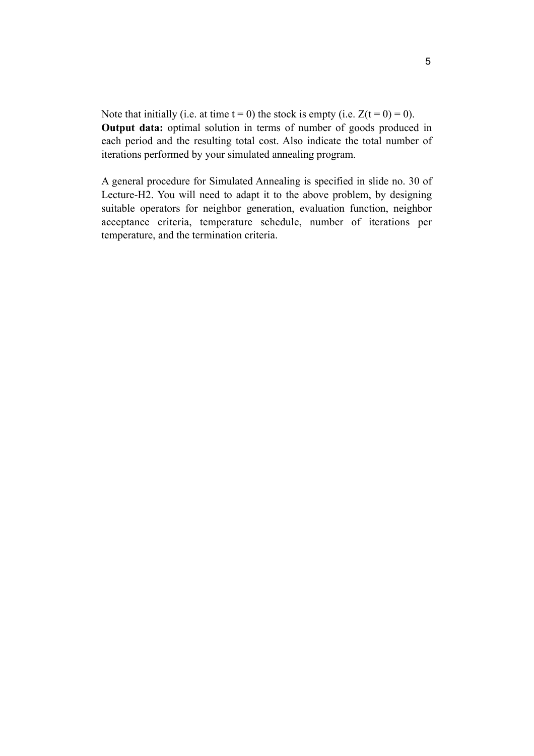Note that initially (i.e. at time  $t = 0$ ) the stock is empty (i.e.  $Z(t = 0) = 0$ ). **Output data:** optimal solution in terms of number of goods produced in each period and the resulting total cost. Also indicate the total number of iterations performed by your simulated annealing program.

A general procedure for Simulated Annealing is specified in slide no. 30 of Lecture-H2. You will need to adapt it to the above problem, by designing suitable operators for neighbor generation, evaluation function, neighbor acceptance criteria, temperature schedule, number of iterations per temperature, and the termination criteria.